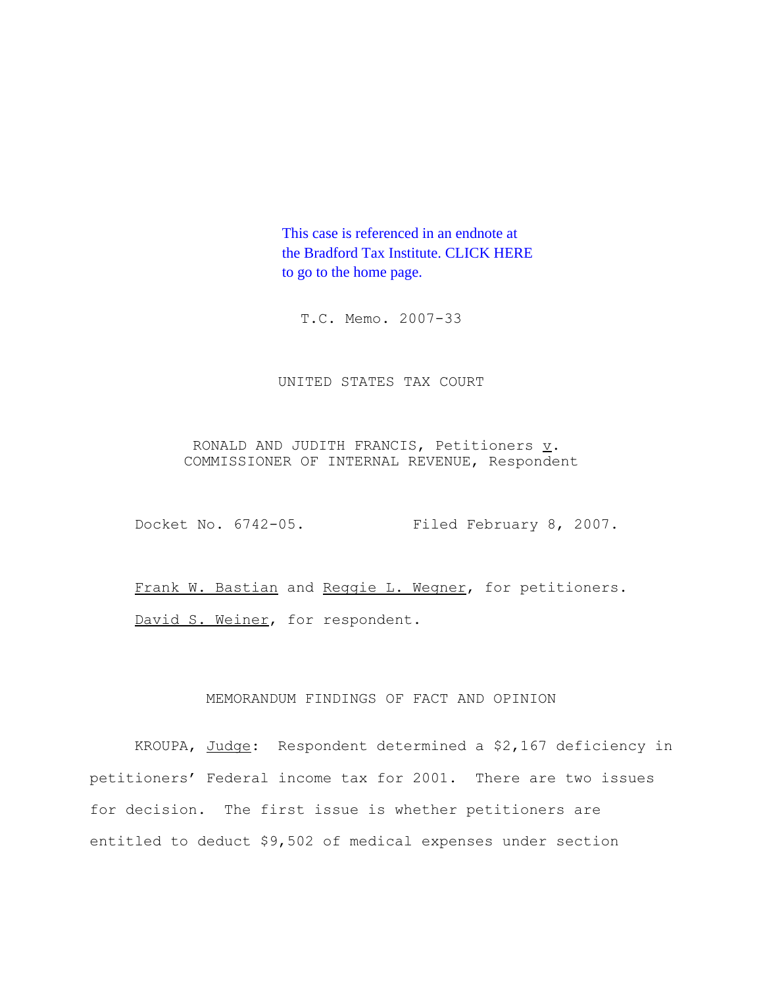This case is referenced in an endnote at [the Bradford Tax Institute. CLICK HERE](http://www.bradfordtaxinstitute.com/)  to go to the home page.

T.C. Memo. 2007-33

UNITED STATES TAX COURT

RONALD AND JUDITH FRANCIS, Petitioners v. COMMISSIONER OF INTERNAL REVENUE, Respondent

Docket No. 6742-05. Filed February 8, 2007.

Frank W. Bastian and Reggie L. Wegner, for petitioners. David S. Weiner, for respondent.

# MEMORANDUM FINDINGS OF FACT AND OPINION

KROUPA, Judge: Respondent determined a \$2,167 deficiency in petitioners' Federal income tax for 2001. There are two issues for decision. The first issue is whether petitioners are entitled to deduct \$9,502 of medical expenses under section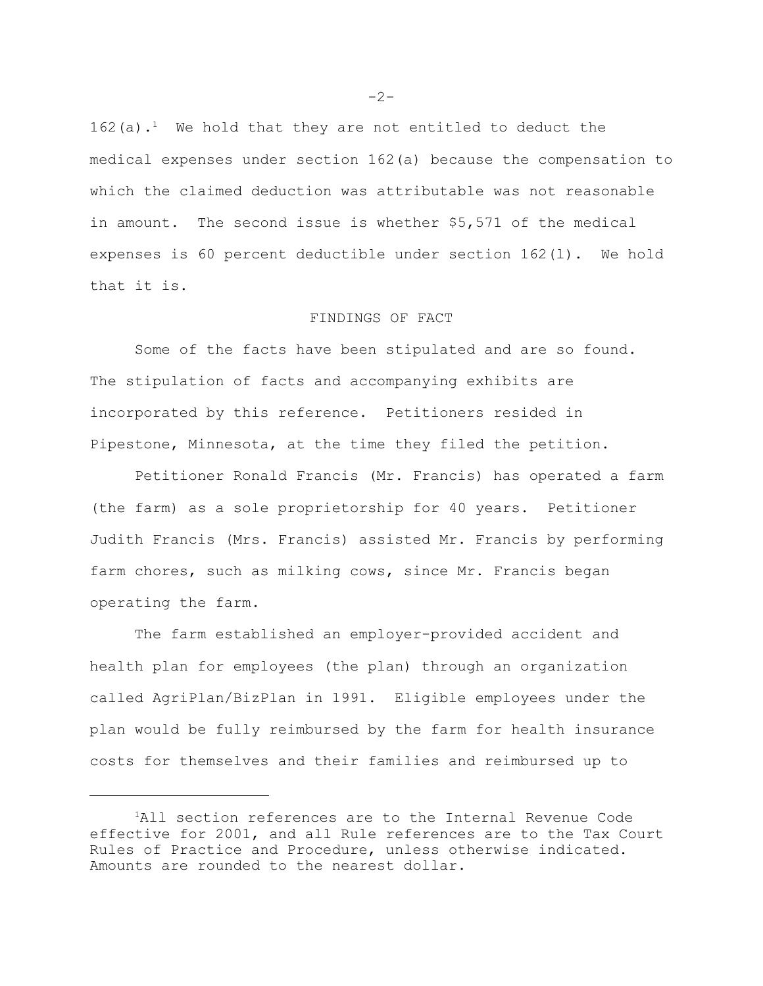162(a).<sup>1</sup> We hold that they are not entitled to deduct the medical expenses under section 162(a) because the compensation to which the claimed deduction was attributable was not reasonable in amount. The second issue is whether \$5,571 of the medical expenses is 60 percent deductible under section 162(l). We hold that it is.

## FINDINGS OF FACT

Some of the facts have been stipulated and are so found. The stipulation of facts and accompanying exhibits are incorporated by this reference. Petitioners resided in Pipestone, Minnesota, at the time they filed the petition.

Petitioner Ronald Francis (Mr. Francis) has operated a farm (the farm) as a sole proprietorship for 40 years. Petitioner Judith Francis (Mrs. Francis) assisted Mr. Francis by performing farm chores, such as milking cows, since Mr. Francis began operating the farm.

The farm established an employer-provided accident and health plan for employees (the plan) through an organization called AgriPlan/BizPlan in 1991. Eligible employees under the plan would be fully reimbursed by the farm for health insurance costs for themselves and their families and reimbursed up to

 $-2-$ 

<sup>1</sup>All section references are to the Internal Revenue Code effective for 2001, and all Rule references are to the Tax Court Rules of Practice and Procedure, unless otherwise indicated. Amounts are rounded to the nearest dollar.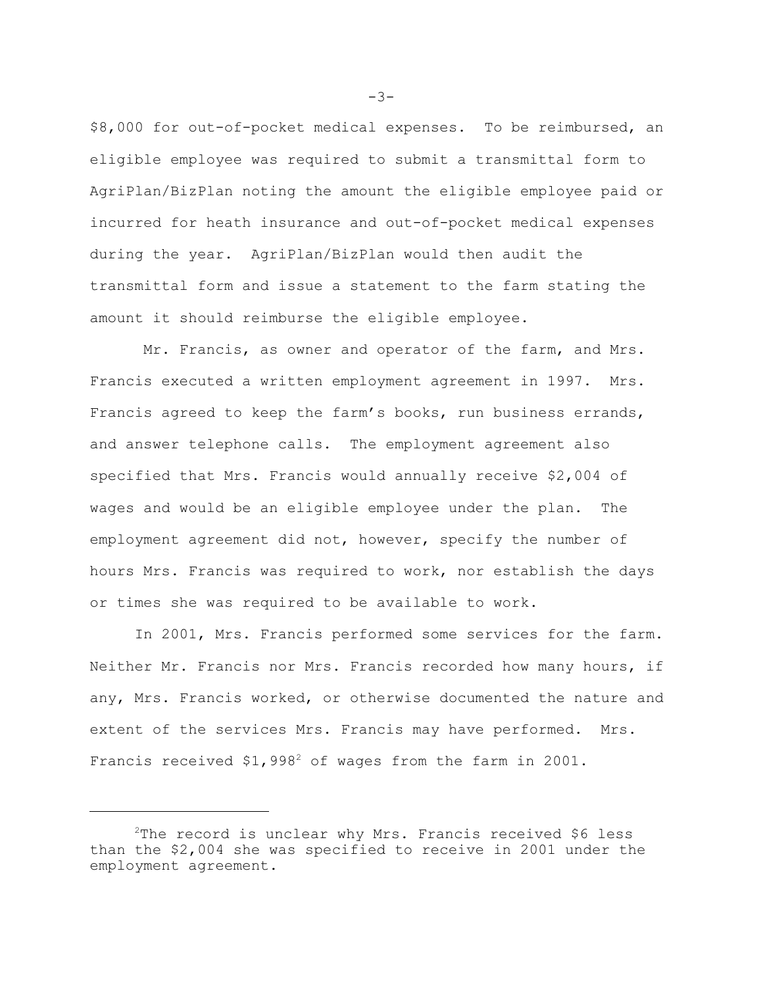\$8,000 for out-of-pocket medical expenses. To be reimbursed, an eligible employee was required to submit a transmittal form to AgriPlan/BizPlan noting the amount the eligible employee paid or incurred for heath insurance and out-of-pocket medical expenses during the year. AgriPlan/BizPlan would then audit the transmittal form and issue a statement to the farm stating the amount it should reimburse the eligible employee.

Mr. Francis, as owner and operator of the farm, and Mrs. Francis executed a written employment agreement in 1997. Mrs. Francis agreed to keep the farm's books, run business errands, and answer telephone calls. The employment agreement also specified that Mrs. Francis would annually receive \$2,004 of wages and would be an eligible employee under the plan. The employment agreement did not, however, specify the number of hours Mrs. Francis was required to work, nor establish the days or times she was required to be available to work.

In 2001, Mrs. Francis performed some services for the farm. Neither Mr. Francis nor Mrs. Francis recorded how many hours, if any, Mrs. Francis worked, or otherwise documented the nature and extent of the services Mrs. Francis may have performed. Mrs. Francis received \$1,998<sup>2</sup> of wages from the farm in 2001.

 $-3-$ 

 $2$ The record is unclear why Mrs. Francis received \$6 less than the \$2,004 she was specified to receive in 2001 under the employment agreement.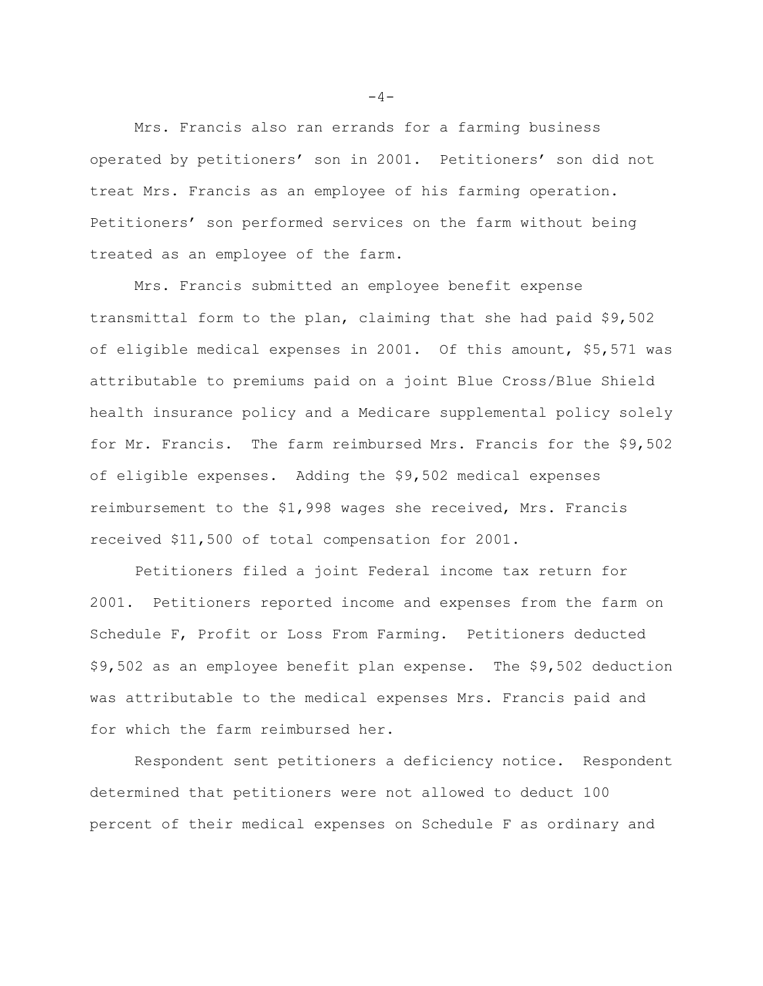Mrs. Francis also ran errands for a farming business operated by petitioners' son in 2001. Petitioners' son did not treat Mrs. Francis as an employee of his farming operation. Petitioners' son performed services on the farm without being treated as an employee of the farm.

Mrs. Francis submitted an employee benefit expense transmittal form to the plan, claiming that she had paid \$9,502 of eligible medical expenses in 2001. Of this amount, \$5,571 was attributable to premiums paid on a joint Blue Cross/Blue Shield health insurance policy and a Medicare supplemental policy solely for Mr. Francis. The farm reimbursed Mrs. Francis for the \$9,502 of eligible expenses. Adding the \$9,502 medical expenses reimbursement to the \$1,998 wages she received, Mrs. Francis received \$11,500 of total compensation for 2001.

Petitioners filed a joint Federal income tax return for 2001. Petitioners reported income and expenses from the farm on Schedule F, Profit or Loss From Farming. Petitioners deducted \$9,502 as an employee benefit plan expense. The \$9,502 deduction was attributable to the medical expenses Mrs. Francis paid and for which the farm reimbursed her.

Respondent sent petitioners a deficiency notice. Respondent determined that petitioners were not allowed to deduct 100 percent of their medical expenses on Schedule F as ordinary and

 $-4-$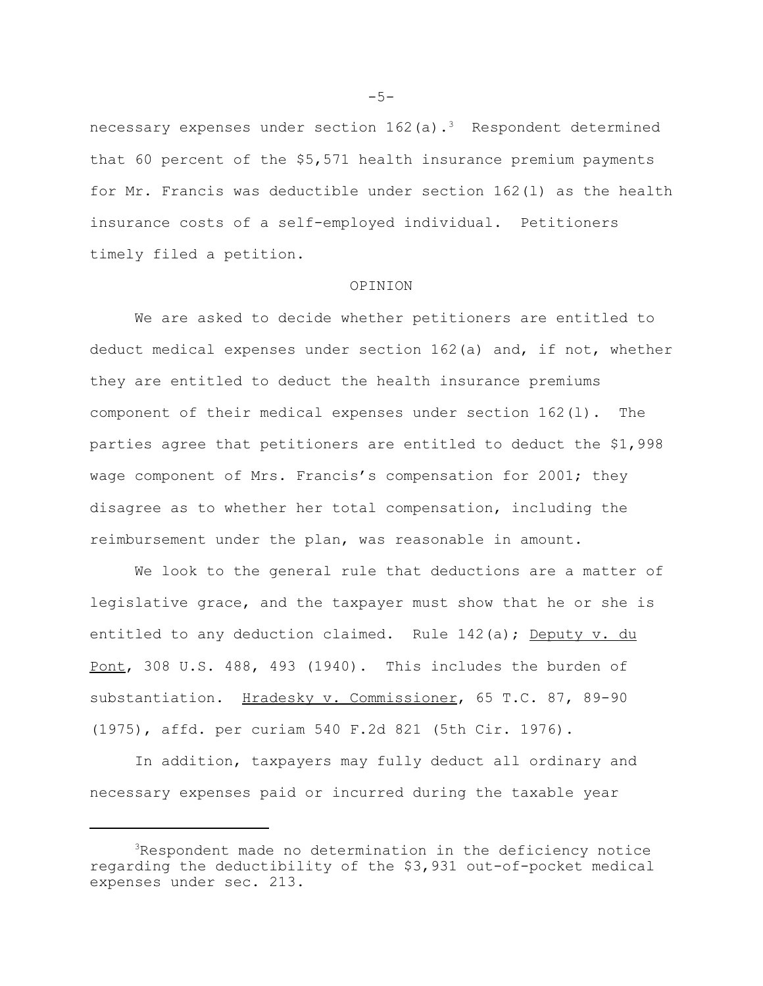necessary expenses under section  $162(a)$ .<sup>3</sup> Respondent determined that 60 percent of the \$5,571 health insurance premium payments for Mr. Francis was deductible under section 162(l) as the health insurance costs of a self-employed individual. Petitioners timely filed a petition.

#### OPINION

We are asked to decide whether petitioners are entitled to deduct medical expenses under section 162(a) and, if not, whether they are entitled to deduct the health insurance premiums component of their medical expenses under section 162(l). The parties agree that petitioners are entitled to deduct the \$1,998 wage component of Mrs. Francis's compensation for 2001; they disagree as to whether her total compensation, including the reimbursement under the plan, was reasonable in amount.

We look to the general rule that deductions are a matter of legislative grace, and the taxpayer must show that he or she is entitled to any deduction claimed. Rule 142(a); Deputy v. du Pont, 308 U.S. 488, 493 (1940). This includes the burden of substantiation. Hradesky v. Commissioner, 65 T.C. 87, 89-90 (1975), affd. per curiam 540 F.2d 821 (5th Cir. 1976).

In addition, taxpayers may fully deduct all ordinary and necessary expenses paid or incurred during the taxable year

 $-5-$ 

<sup>3</sup>Respondent made no determination in the deficiency notice regarding the deductibility of the \$3,931 out-of-pocket medical expenses under sec. 213.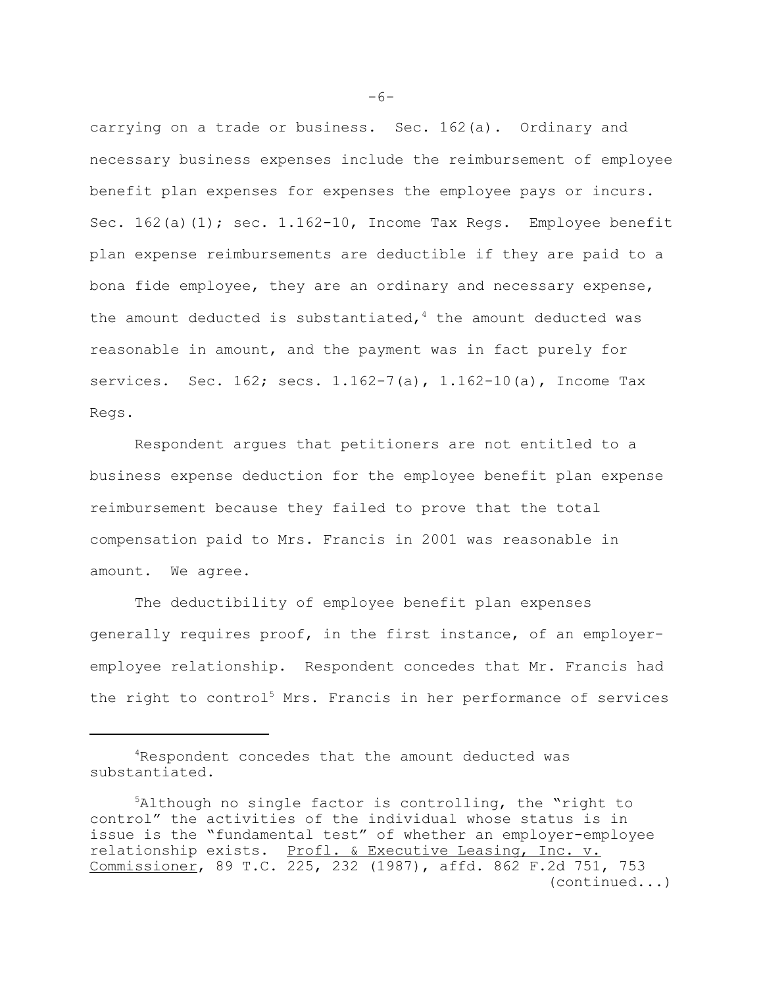carrying on a trade or business. Sec. 162(a). Ordinary and necessary business expenses include the reimbursement of employee benefit plan expenses for expenses the employee pays or incurs. Sec. 162(a)(1); sec. 1.162-10, Income Tax Regs. Employee benefit plan expense reimbursements are deductible if they are paid to a bona fide employee, they are an ordinary and necessary expense, the amount deducted is substantiated,  $4$  the amount deducted was reasonable in amount, and the payment was in fact purely for services. Sec. 162; secs. 1.162-7(a), 1.162-10(a), Income Tax Regs.

Respondent argues that petitioners are not entitled to a business expense deduction for the employee benefit plan expense reimbursement because they failed to prove that the total compensation paid to Mrs. Francis in 2001 was reasonable in amount. We agree.

The deductibility of employee benefit plan expenses generally requires proof, in the first instance, of an employeremployee relationship. Respondent concedes that Mr. Francis had the right to control<sup>5</sup> Mrs. Francis in her performance of services

 $-6-$ 

<sup>4</sup>Respondent concedes that the amount deducted was substantiated.

<sup>5</sup>Although no single factor is controlling, the "right to control" the activities of the individual whose status is in issue is the "fundamental test" of whether an employer-employee relationship exists. Profl. & Executive Leasing, Inc. v. Commissioner, 89 T.C. 225, 232 (1987), affd. 862 F.2d 751, 753 (continued...)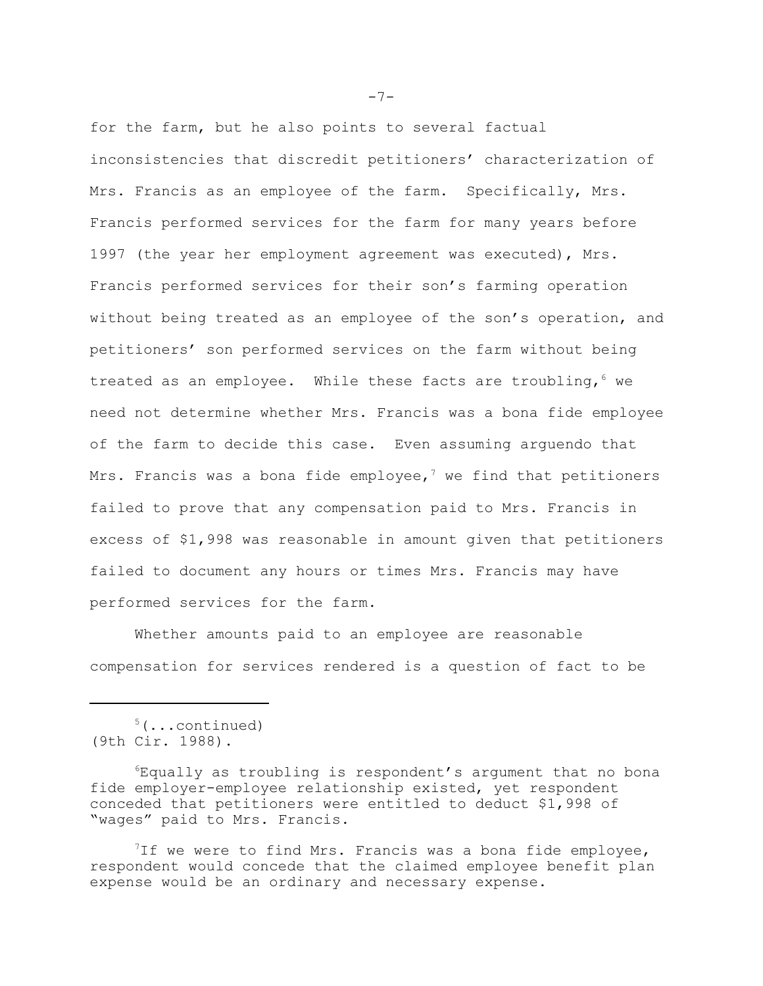for the farm, but he also points to several factual inconsistencies that discredit petitioners' characterization of Mrs. Francis as an employee of the farm. Specifically, Mrs. Francis performed services for the farm for many years before 1997 (the year her employment agreement was executed), Mrs. Francis performed services for their son's farming operation without being treated as an employee of the son's operation, and petitioners' son performed services on the farm without being treated as an employee. While these facts are troubling,  $6$  we need not determine whether Mrs. Francis was a bona fide employee of the farm to decide this case. Even assuming arguendo that Mrs. Francis was a bona fide employee,<sup>7</sup> we find that petitioners failed to prove that any compensation paid to Mrs. Francis in excess of \$1,998 was reasonable in amount given that petitioners failed to document any hours or times Mrs. Francis may have performed services for the farm.

Whether amounts paid to an employee are reasonable compensation for services rendered is a question of fact to be

5(...continued) (9th Cir. 1988).

 ${}^6E$ qually as troubling is respondent's argument that no bona fide employer-employee relationship existed, yet respondent conceded that petitioners were entitled to deduct \$1,998 of "wages" paid to Mrs. Francis.

<sup>7</sup>If we were to find Mrs. Francis was a bona fide employee, respondent would concede that the claimed employee benefit plan expense would be an ordinary and necessary expense.

 $-7-$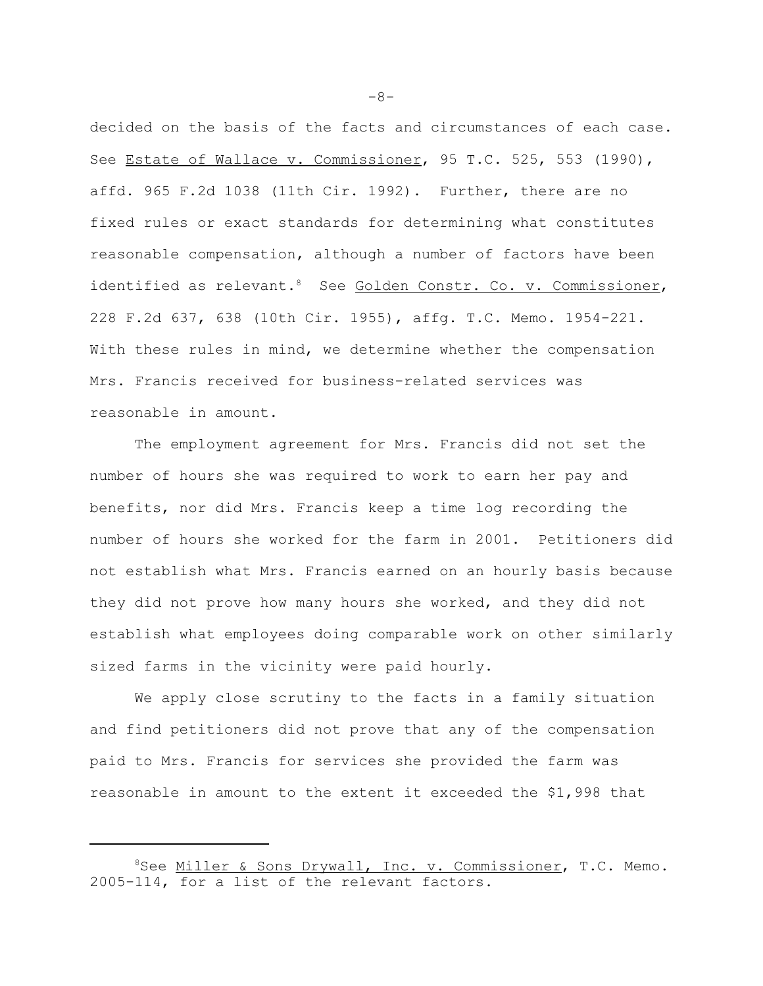decided on the basis of the facts and circumstances of each case. See Estate of Wallace v. Commissioner, 95 T.C. 525, 553 (1990), affd. 965 F.2d 1038 (11th Cir. 1992). Further, there are no fixed rules or exact standards for determining what constitutes reasonable compensation, although a number of factors have been identified as relevant. <sup>8</sup> See Golden Constr. Co. v. Commissioner, 228 F.2d 637, 638 (10th Cir. 1955), affg. T.C. Memo. 1954-221. With these rules in mind, we determine whether the compensation Mrs. Francis received for business-related services was reasonable in amount.

The employment agreement for Mrs. Francis did not set the number of hours she was required to work to earn her pay and benefits, nor did Mrs. Francis keep a time log recording the number of hours she worked for the farm in 2001. Petitioners did not establish what Mrs. Francis earned on an hourly basis because they did not prove how many hours she worked, and they did not establish what employees doing comparable work on other similarly sized farms in the vicinity were paid hourly.

We apply close scrutiny to the facts in a family situation and find petitioners did not prove that any of the compensation paid to Mrs. Francis for services she provided the farm was reasonable in amount to the extent it exceeded the \$1,998 that

 $-8-$ 

<sup>&</sup>lt;sup>8</sup>See Miller & Sons Drywall, Inc. v. Commissioner, T.C. Memo. 2005-114, for a list of the relevant factors.